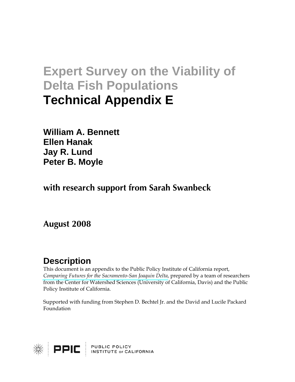# **Expert Survey on the Viability of Delta Fish Populations Technical Appendix E**

**William A. Bennett Ellen Hanak Jay R. Lund Peter B. Moyle** 

**with research support from Sarah Swanbeck** 

**August 2008** 

# **Description**

This document is an appendix to the Public Policy Institute of California report, *[Comparing Futures for the Sacramento-San Joaquin Delta](http://www.ppic.org/main/publication.asp?i=810)*, prepared by a team of researchers from the Center for Watershed Sciences (University of California, Davis) and the Public Policy Institute of California.

Supported with funding from Stephen D. Bechtel Jr. and the David and Lucile Packard Foundation

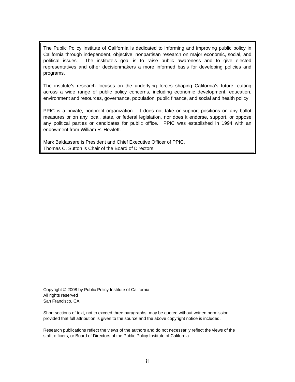The Public Policy Institute of California is dedicated to informing and improving public policy in California through independent, objective, nonpartisan research on major economic, social, and political issues. The institute's goal is to raise public awareness and to give elected representatives and other decisionmakers a more informed basis for developing policies and programs.

The institute's research focuses on the underlying forces shaping California's future, cutting across a wide range of public policy concerns, including economic development, education, environment and resources, governance, population, public finance, and social and health policy.

PPIC is a private, nonprofit organization. It does not take or support positions on any ballot measures or on any local, state, or federal legislation, nor does it endorse, support, or oppose any political parties or candidates for public office. PPIC was established in 1994 with an endowment from William R. Hewlett.

Mark Baldassare is President and Chief Executive Officer of PPIC. Thomas C. Sutton is Chair of the Board of Directors.

Copyright © 2008 by Public Policy Institute of California All rights reserved San Francisco, CA

Short sections of text, not to exceed three paragraphs, may be quoted without written permission provided that full attribution is given to the source and the above copyright notice is included.

Research publications reflect the views of the authors and do not necessarily reflect the views of the staff, officers, or Board of Directors of the Public Policy Institute of California.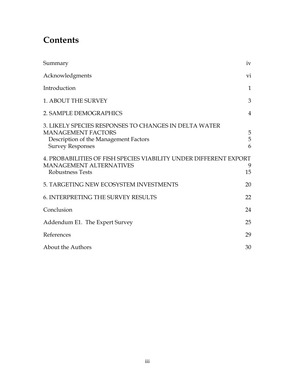# **Contents**

| Summary                                                                                                                                                | iv             |
|--------------------------------------------------------------------------------------------------------------------------------------------------------|----------------|
| Acknowledgments                                                                                                                                        | vi             |
| Introduction                                                                                                                                           | 1              |
| <b>1. ABOUT THE SURVEY</b>                                                                                                                             | 3              |
| 2. SAMPLE DEMOGRAPHICS                                                                                                                                 | $\overline{4}$ |
| 3. LIKELY SPECIES RESPONSES TO CHANGES IN DELTA WATER<br><b>MANAGEMENT FACTORS</b><br>Description of the Management Factors<br><b>Survey Responses</b> | 5<br>5<br>6    |
| 4. PROBABILITIES OF FISH SPECIES VIABILITY UNDER DIFFERENT EXPORT<br><b>MANAGEMENT ALTERNATIVES</b><br><b>Robustness Tests</b>                         | 9<br>15        |
| 5. TARGETING NEW ECOSYSTEM INVESTMENTS                                                                                                                 | 20             |
| <b>6. INTERPRETING THE SURVEY RESULTS</b>                                                                                                              | 22             |
| Conclusion                                                                                                                                             | 24             |
| Addendum E1. The Expert Survey                                                                                                                         | 25             |
| References                                                                                                                                             | 29             |
| <b>About the Authors</b>                                                                                                                               | 30             |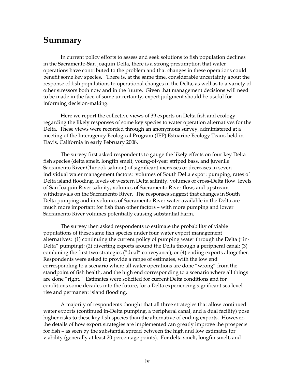### <span id="page-3-0"></span>**Summary**

In current policy efforts to assess and seek solutions to fish population declines in the Sacramento-San Joaquin Delta, there is a strong presumption that water operations have contributed to the problem and that changes in these operations could benefit some key species. There is, at the same time, considerable uncertainty about the response of fish populations to operational changes in the Delta, as well as to a variety of other stressors both now and in the future. Given that management decisions will need to be made in the face of some uncertainty, expert judgment should be useful for informing decision-making.

Here we report the collective views of 39 experts on Delta fish and ecology regarding the likely responses of some key species to water operation alternatives for the Delta. These views were recorded through an anonymous survey, administered at a meeting of the Interagency Ecological Program (IEP) Estuarine Ecology Team, held in Davis, California in early February 2008.

The survey first asked respondents to gauge the likely effects on four key Delta fish species (delta smelt, longfin smelt, young-of-year striped bass, and juvenile Sacramento River Chinook salmon) of significant increases or decreases in seven individual water management factors: volumes of South Delta export pumping, rates of Delta island flooding, levels of western Delta salinity, volumes of cross-Delta flow, levels of San Joaquin River salinity, volumes of Sacramento River flow, and upstream withdrawals on the Sacramento River. The responses suggest that changes in South Delta pumping and in volumes of Sacramento River water available in the Delta are much more important for fish than other factors – with more pumping and lower Sacramento River volumes potentially causing substantial harm.

The survey then asked respondents to estimate the probability of viable populations of these same fish species under four water export management alternatives: (1) continuing the current policy of pumping water through the Delta ("in-Delta" pumping); (2) diverting exports around the Delta through a peripheral canal; (3) combining the first two strategies ("dual" conveyance); or (4) ending exports altogether. Respondents were asked to provide a range of estimates, with the low end corresponding to a scenario where all water operations are done "wrong" from the standpoint of fish health, and the high end corresponding to a scenario where all things are done "right." Estimates were solicited for current Delta conditions and for conditions some decades into the future, for a Delta experiencing significant sea level rise and permanent island flooding.

A majority of respondents thought that all three strategies that allow continued water exports (continued in-Delta pumping, a peripheral canal, and a dual facility) pose higher risks to these key fish species than the alternative of ending exports. However, the details of how export strategies are implemented can greatly improve the prospects for fish – as seen by the substantial spread between the high and low estimates for viability (generally at least 20 percentage points). For delta smelt, longfin smelt, and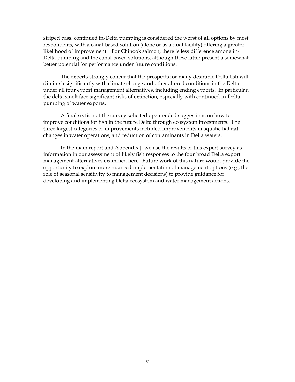striped bass, continued in-Delta pumping is considered the worst of all options by most respondents, with a canal-based solution (alone or as a dual facility) offering a greater likelihood of improvement. For Chinook salmon, there is less difference among in-Delta pumping and the canal-based solutions, although these latter present a somewhat better potential for performance under future conditions.

The experts strongly concur that the prospects for many desirable Delta fish will diminish significantly with climate change and other altered conditions in the Delta under all four export management alternatives, including ending exports. In particular, the delta smelt face significant risks of extinction, especially with continued in-Delta pumping of water exports.

A final section of the survey solicited open-ended suggestions on how to improve conditions for fish in the future Delta through ecosystem investments. The three largest categories of improvements included improvements in aquatic habitat, changes in water operations, and reduction of contaminants in Delta waters.

In the main report and Appendix J, we use the results of this expert survey as information in our assessment of likely fish responses to the four broad Delta export management alternatives examined here. Future work of this nature would provide the opportunity to explore more nuanced implementation of management options (e.g., the role of seasonal sensitivity to management decisions) to provide guidance for developing and implementing Delta ecosystem and water management actions.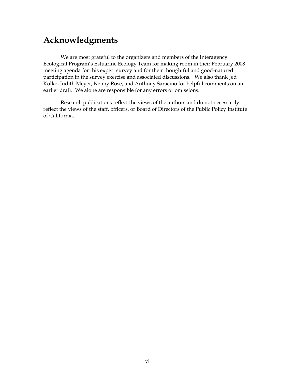# <span id="page-5-0"></span>**Acknowledgments**

We are most grateful to the organizers and members of the Interagency Ecological Program's Estuarine Ecology Team for making room in their February 2008 meeting agenda for this expert survey and for their thoughtful and good-natured participation in the survey exercise and associated discussions. We also thank Jed Kolko, Judith Meyer, Kenny Rose, and Anthony Saracino for helpful comments on an earlier draft. We alone are responsible for any errors or omissions.

Research publications reflect the views of the authors and do not necessarily reflect the views of the staff, officers, or Board of Directors of the Public Policy Institute of California.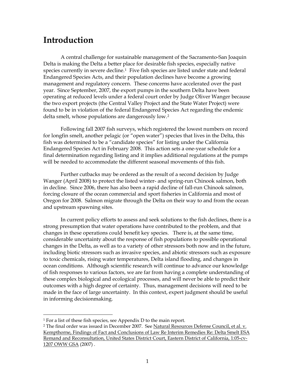# <span id="page-6-0"></span>**Introduction**

A central challenge for sustainable management of the Sacramento-San Joaquin Delta is making the Delta a better place for desirable fish species, especially native species currently in severe decline.<sup>[1](#page-6-1)</sup> Five fish species are listed under state and federal Endangered Species Acts, and their population declines have become a growing management and regulatory concern. These concerns have accelerated over the past year. Since September, 2007, the export pumps in the southern Delta have been operating at reduced levels under a federal court order by Judge Oliver Wanger because the two export projects (the Central Valley Project and the State Water Project) were found to be in violation of the federal Endangered Species Act regarding the endemic delta smelt, whose populations are dangerously low.[2](#page-6-2)

Following fall 2007 fish surveys, which registered the lowest numbers on record for longfin smelt, another pelagic (or "open water") species that lives in the Delta, this fish was determined to be a "candidate species" for listing under the California Endangered Species Act in February 2008. This action sets a one-year schedule for a final determination regarding listing and it implies additional regulations at the pumps will be needed to accommodate the different seasonal movements of this fish.

Further cutbacks may be ordered as the result of a second decision by Judge Wanger (April 2008) to protect the listed winter- and spring-run Chinook salmon, both in decline. Since 2006, there has also been a rapid decline of fall-run Chinook salmon, forcing closure of the ocean commercial and sport fisheries in California and most of Oregon for 2008. Salmon migrate through the Delta on their way to and from the ocean and upstream spawning sites.

In current policy efforts to assess and seek solutions to the fish declines, there is a strong presumption that water operations have contributed to the problem, and that changes in these operations could benefit key species. There is, at the same time, considerable uncertainty about the response of fish populations to possible operational changes in the Delta, as well as to a variety of other stressors both now and in the future, including biotic stressors such as invasive species, and abiotic stressors such as exposure to toxic chemicals, rising water temperatures, Delta island flooding, and changes in ocean conditions. Although scientific research will continue to advance our knowledge of fish responses to various factors, we are far from having a complete understanding of these complex biological and ecological processes, and will never be able to predict their outcomes with a high degree of certainty. Thus, management decisions will need to be made in the face of large uncertainty. In this context, expert judgment should be useful in informing decisionmaking.

 $\overline{a}$ 

 $1$  For a list of these fish species, see Appendix D to the main report.

<span id="page-6-2"></span><span id="page-6-1"></span><sup>&</sup>lt;sup>2</sup> The final order was issued in December 2007. See Natural Resources Defense Council, et al. v. Kempthorne, Findings of Fact and Conclusions of Law Re Interim Remedies Re: Delta Smelt ESA Remand and Reconsultation, United States District Court, Eastern District of California, 1:05-cv-1207 OWW GSA (2007) .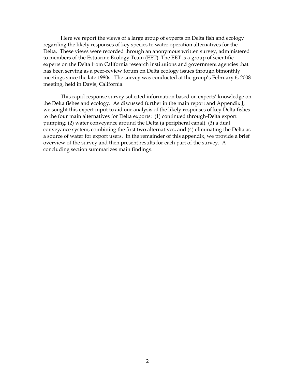Here we report the views of a large group of experts on Delta fish and ecology regarding the likely responses of key species to water operation alternatives for the Delta. These views were recorded through an anonymous written survey, administered to members of the Estuarine Ecology Team (EET). The EET is a group of scientific experts on the Delta from California research institutions and government agencies that has been serving as a peer-review forum on Delta ecology issues through bimonthly meetings since the late 1980s. The survey was conducted at the group's February 6, 2008 meeting, held in Davis, California.

This rapid response survey solicited information based on experts' knowledge on the Delta fishes and ecology. As discussed further in the main report and Appendix J, we sought this expert input to aid our analysis of the likely responses of key Delta fishes to the four main alternatives for Delta exports: (1) continued through-Delta export pumping; (2) water conveyance around the Delta (a peripheral canal), (3) a dual conveyance system, combining the first two alternatives, and (4) eliminating the Delta as a source of water for export users. In the remainder of this appendix, we provide a brief overview of the survey and then present results for each part of the survey. A concluding section summarizes main findings.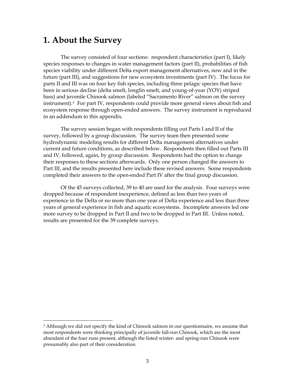### <span id="page-8-0"></span>**1. About the Survey**

 $\ddot{\phantom{a}}$ 

The survey consisted of four sections: respondent characteristics (part I), likely species responses to changes in water management factors (part II), probabilities of fish species viability under different Delta export management alternatives, now and in the future (part III), and suggestions for new ecosystem investments (part IV). The focus for parts II and III was on four key fish species, including three pelagic species that have been in serious decline (delta smelt, longfin smelt, and young-of-year (YOY) striped bass) and juvenile Chinook salmon (labeled "Sacramento River" salmon on the survey instrument).[3](#page-8-1) For part IV, respondents could provide more general views about fish and ecosystem response through open-ended answers. The survey instrument is reproduced in an addendum to this appendix.

The survey session began with respondents filling out Parts I and II of the survey, followed by a group discussion. The survey team then presented some hydrodynamic modeling results for different Delta management alternatives under current and future conditions, as described below. Respondents then filled out Parts III and IV, followed, again, by group discussion. Respondents had the option to change their responses to these sections afterwards. Only one person changed the answers to Part III, and the results presented here include these revised answers. Some respondents completed their answers to the open-ended Part IV after the final group discussion.

Of the 45 surveys collected, 39 to 40 are used for the analysis. Four surveys were dropped because of respondent inexperience, defined as less than two years of experience in the Delta or no more than one year of Delta experience and less than three years of general experience in fish and aquatic ecosystems. Incomplete answers led one more survey to be dropped in Part II and two to be dropped in Part III. Unless noted, results are presented for the 39 complete surveys.

<span id="page-8-1"></span><sup>&</sup>lt;sup>3</sup> Although we did not specify the kind of Chinook salmon in our questionnaire, we assume that most respondents were thinking principally of juvenile fall-run Chinook, which are the most abundant of the four runs present, although the listed winter- and spring-run Chinook were presumably also part of their consideration.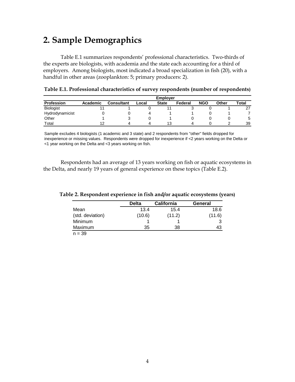# <span id="page-9-1"></span><span id="page-9-0"></span>**2. Sample Demographics**

Table E.1 summarizes respondents' professional characteristics. Two-thirds of the experts are biologists, with academia and the state each accounting for a third of employers. Among biologists, most indicated a broad specialization in fish (20), with a handful in other areas (zooplankton: 5; primary producers: 2).

|                  | <b>Employer</b> |                   |       |              |         |            |       |       |  |  |  |
|------------------|-----------------|-------------------|-------|--------------|---------|------------|-------|-------|--|--|--|
| Profession       | Academic        | <b>Consultant</b> | Local | <b>State</b> | Federal | <b>NGO</b> | Other | Total |  |  |  |
| <b>Biologist</b> |                 |                   |       |              | u       |            |       | 27    |  |  |  |
| Hydrodynamicist  |                 |                   |       |              |         |            |       |       |  |  |  |
| Other            |                 |                   |       |              |         |            |       | 5     |  |  |  |
| $\tau$ otal      |                 |                   | 4     | 13           | 4       |            |       | 39    |  |  |  |

**Table E.1. Professional characteristics of survey respondents (number of respondents)** 

Sample excludes 4 biologists (1 academic and 3 state) and 2 respondents from "other" fields dropped for inexperience or missing values. Respondents were dropped for inexperience if <2 years working on the Delta or <1 year working on the Delta and <3 years working on fish.

Respondents had an average of 13 years working on fish or aquatic ecosystems in the Delta, and nearly 19 years of general experience on these topics (Table E.2).

|                  | <b>Delta</b> | <b>California</b> | General |
|------------------|--------------|-------------------|---------|
| Mean             | 13.4         | 15.4              | 18.6    |
| (std. deviation) | (10.6)       | (11.2)            | (11.6)  |
| Minimum          |              |                   | 3       |
| Maximum          | 35           | 38                | 43      |
| $n - 20$         |              |                   |         |

**Table 2. Respondent experience in fish and/or aquatic ecosystems (years)** 

 $n = 39$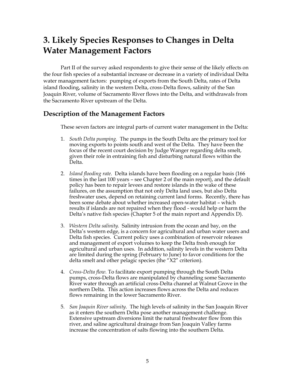# <span id="page-10-0"></span>**3. Likely Species Responses to Changes in Delta Water Management Factors**

Part II of the survey asked respondents to give their sense of the likely effects on the four fish species of a substantial increase or decrease in a variety of individual Delta water management factors: pumping of exports from the South Delta, rates of Delta island flooding, salinity in the western Delta, cross-Delta flows, salinity of the San Joaquin River, volume of Sacramento River flows into the Delta, and withdrawals from the Sacramento River upstream of the Delta.

### **Description of the Management Factors**

These seven factors are integral parts of current water management in the Delta:

- 1. *South Delta pumping.* The pumps in the South Delta are the primary tool for moving exports to points south and west of the Delta. They have been the focus of the recent court decision by Judge Wanger regarding delta smelt, given their role in entraining fish and disturbing natural flows within the Delta.
- 2. *Island flooding rate.* Delta islands have been flooding on a regular basis (166 times in the last 100 years – see Chapter 2 of the main report), and the default policy has been to repair levees and restore islands in the wake of these failures, on the assumption that not only Delta land uses, but also Delta freshwater uses, depend on retaining current land forms. Recently, there has been some debate about whether increased open-water habitat – which results if islands are not repaired when they flood - would help or harm the Delta's native fish species (Chapter 5 of the main report and Appendix D).
- 3. *Western Delta salinity.* Salinity intrusion from the ocean and bay, on the Delta's western edge, is a concern for agricultural and urban water users and Delta fish species. Current policy uses a combination of reservoir releases and management of export volumes to keep the Delta fresh enough for agricultural and urban uses. In addition, salinity levels in the western Delta are limited during the spring (February to June) to favor conditions for the delta smelt and other pelagic species (the "X2" criterion).
- 4. *Cross-Delta flow.* To facilitate export pumping through the South Delta pumps, cross-Delta flows are manipulated by channeling some Sacramento River water through an artificial cross-Delta channel at Walnut Grove in the northern Delta. This action increases flows across the Delta and reduces flows remaining in the lower Sacramento River.
- 5. *San Joaquin River salinity.* The high levels of salinity in the San Joaquin River as it enters the southern Delta pose another management challenge. Extensive upstream diversions limit the natural freshwater flow from this river, and saline agricultural drainage from San Joaquin Valley farms increase the concentration of salts flowing into the southern Delta.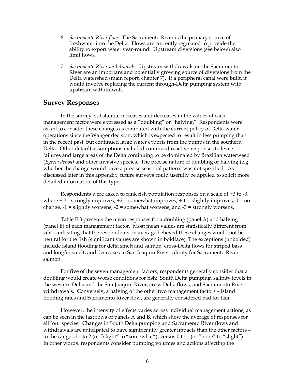- <span id="page-11-0"></span>6. *Sacramento River flow.* The Sacramento River is the primary source of freshwater into the Delta. Flows are currently regulated to provide the ability to export water year-round. Upstream diversions (see below) also limit flows.
- 7. *Sacramento River withdrawals.* Upstream withdrawals on the Sacramento River are an important and potentially growing source of diversions from the Delta watershed (main report, chapter 7). If a peripheral canal were built, it would involve replacing the current through-Delta pumping system with upstream withdrawals.

### **Survey Responses**

In the survey, substantial increases and decreases in the values of each management factor were expressed as a "doubling" or "halving." Respondents were asked to consider these changes as compared with the current policy of Delta water operations since the Wanger decision, which is expected to result in less pumping than in the recent past, but continued large water exports from the pumps in the southern Delta. Other default assumptions included continued reactive responses to levee failures and large areas of the Delta continuing to be dominated by Brazilian waterweed (*Egeria densa)* and other invasive species. The precise nature of doubling or halving (e.g. whether the change would have a precise seasonal pattern) was not specified. As discussed later in this appendix, future surveys could usefully be applied to solicit more detailed information of this type.

Respondents were asked to rank fish population responses on a scale of +3 to -3, where  $+3$  = strongly improves,  $+2$  = somewhat improves,  $+1$  = slightly improves,  $0$  = no change,  $-1$  = slightly worsens,  $-2$  = somewhat worsens, and  $-3$  = strongly worsens.

Table E.3 presents the mean responses for a doubling (panel A) and halving (panel B) of each management factor. Most mean values are statistically different from zero, indicating that the respondents on average believed these changes would not be neutral for the fish (significant values are shown in boldface). The exceptions (unbolded) include island flooding for delta smelt and salmon, cross-Delta flows for striped bass and longfin smelt, and decreases in San Joaquin River salinity for Sacramento River salmon.

For five of the seven management factors, respondents generally consider that a doubling would create worse conditions for fish: South Delta pumping, salinity levels in the western Delta and the San Joaquin River, cross-Delta flows, and Sacramento River withdrawals. Conversely, a halving of the other two management factors – island flooding rates and Sacramento River flow, are generally considered bad for fish.

However, the intensity of effects varies across individual management actions, as can be seen in the last rows of panels A and B, which show the average of responses for all four species. Changes in South Delta pumping and Sacramento River flows and withdrawals are anticipated to have significantly greater impacts than the other factors – in the range of 1 to 2 (or "slight" to "somewhat"), versus 0 to 1 (or "none" to "slight"). In other words, respondents consider pumping volumes and actions affecting the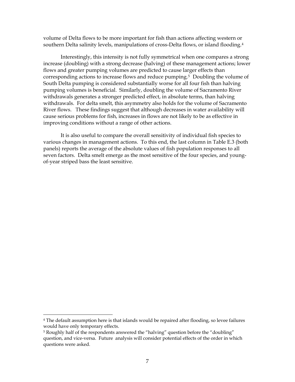volume of Delta flows to be more important for fish than actions affecting western or southern Delta salinity levels, manipulations of cross-Delta flows, or island flooding.<sup>[4](#page-12-0)</sup>

Interestingly, this intensity is not fully symmetrical when one compares a strong increase (doubling) with a strong decrease (halving) of these management actions; lower flows and greater pumping volumes are predicted to cause larger effects than corresponding actions to increase flows and reduce pumping.[5](#page-12-1) Doubling the volume of South Delta pumping is considered substantially worse for all four fish than halving pumping volumes is beneficial. Similarly, doubling the volume of Sacramento River withdrawals generates a stronger predicted effect, in absolute terms, than halving withdrawals. For delta smelt, this asymmetry also holds for the volume of Sacramento River flows. These findings suggest that although decreases in water availability will cause serious problems for fish, increases in flows are not likely to be as effective in improving conditions without a range of other actions.

It is also useful to compare the overall sensitivity of individual fish species to various changes in management actions. To this end, the last column in Table E.3 (both panels) reports the average of the absolute values of fish population responses to all seven factors. Delta smelt emerge as the most sensitive of the four species, and youngof-year striped bass the least sensitive.

 $\overline{a}$ 

<span id="page-12-0"></span><sup>&</sup>lt;sup>4</sup> The default assumption here is that islands would be repaired after flooding, so levee failures would have only temporary effects.

<span id="page-12-1"></span><sup>&</sup>lt;sup>5</sup> Roughly half of the respondents answered the "halving" question before the "doubling" question, and vice-versa. Future analysis will consider potential effects of the order in which questions were asked.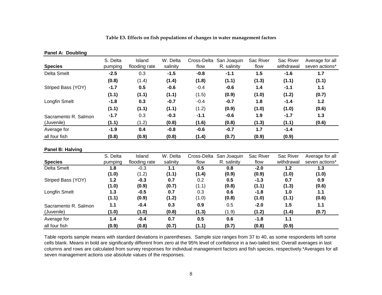| <b>Species</b>       | S. Delta<br>pumping | Island<br>flooding rate | W. Delta<br>salinity | Cross-Delta<br>flow | San Joaquin<br>R. salinity | Sac River<br>flow | Sac River<br>withdrawal | Average for all<br>seven actions* |
|----------------------|---------------------|-------------------------|----------------------|---------------------|----------------------------|-------------------|-------------------------|-----------------------------------|
| Delta Smelt          | $-2.5$              | 0.3                     | $-1.5$               | $-0.8$              | $-1.1$                     | 1.5               | $-1.6$                  | 1.7                               |
|                      | (0.8)               | (1.4)                   | (1.4)                | (1.8)               | (1.1)                      | (1.3)             | (1.1)                   | (1.1)                             |
| Striped Bass (YOY)   | $-1.7$              | 0.5                     | $-0.6$               | $-0.4$              | $-0.6$                     | 1.4               | $-1.1$                  | 1.1                               |
|                      | (1.1)               | (1.1)                   | (1.1)                | (1.5)               | (0.9)                      | (1.0)             | (1.2)                   | (0.7)                             |
| Longfin Smelt        | $-1.8$              | 0.3                     | $-0.7$               | $-0.4$              | $-0.7$                     | 1.8               | $-1.4$                  | 1.2                               |
|                      | (1.1)               | (1.1)                   | (1.1)                | (1.2)               | (0.9)                      | (1.0)             | (1.0)                   | (0.6)                             |
| Sacramento R. Salmon | $-1.7$              | 0.3                     | $-0.3$               | $-1.1$              | $-0.6$                     | 1.9               | $-1.7$                  | 1.3                               |
| (Juvenile)           | (1.1)               | (1.2)                   | (0.8)                | (1.6)               | (0.8)                      | (1.3)             | (1.1)                   | (0.6)                             |
| Average for          | $-1.9$              | 0.4                     | $-0.8$               | $-0.6$              | $-0.7$                     | 1.7               | $-1.4$                  |                                   |
| all four fish        | (0.8)               | (0.9)                   | (0.8)                | (1.4)               | (0.7)                      | (0.9)             | (0.9)                   |                                   |

#### **Table E3. Effects on fish populations of changes in water management factors**

#### **Panel B: Halving**

**Panel A: Doubling**

|                      | S. Delta | Island        | W. Delta | Cross-Delta | San Joaquin | Sac River | Sac River  | Average for all |
|----------------------|----------|---------------|----------|-------------|-------------|-----------|------------|-----------------|
| <b>Species</b>       | pumping  | flooding rate | salinity | flow        | R. salinity | flow      | withdrawal | seven actions*  |
| Delta Smelt          | 1.8      | $-0.3$        | 1.1      | 0.5         | 0.8         | $-2.0$    | 1.2        | 1.3             |
|                      | (1.0)    | (1.2)         | (1.1)    | (1.4)       | (0.9)       | (0.9)     | (1.0)      | (1.0)           |
| Striped Bass (YOY)   | 1.2      | $-0.3$        | 0.7      | 0.2         | 0.5         | $-1.3$    | 0.7        | 0.9             |
|                      | (1.0)    | (0.9)         | (0.7)    | (1.1)       | (0.8)       | (1.1)     | (1.3)      | (0.6)           |
| Longfin Smelt        | 1.3      | $-0.5$        | 0.7      | 0.3         | 0.6         | $-1.8$    | 1.0        | 1.1             |
|                      | (1.1)    | (0.9)         | (1.2)    | (1.0)       | (0.8)       | (1.0)     | (1.1)      | (0.6)           |
| Sacramento R. Salmon | 1.1      | $-0.4$        | 0.3      | 0.9         | 0.5         | $-2.0$    | 1.5        | 1.1             |
| (Juvenile)           | (1.0)    | (1.0)         | (0.8)    | (1.3)       | (1.9)       | (1.2)     | (1.4)      | (0.7)           |
| Average for          | 1.4      | $-0.4$        | 0.7      | 0.5         | 0.6         | $-1.8$    | 1.1        |                 |
| all four fish        | (0.9)    | (0.8)         | (0.7)    | (1.1)       | (0.7)       | (0.8)     | (0.9)      |                 |

Table reports sample means with standard deviations in parentheses. Sample size ranges from 37 to 40, as some respondents left some cells blank. Means in bold are significantly different from zero at the 95% level of confidence in a two-tailed test. Overall averages in last columns and rows are calculated from survey responses for individual management factors and fish species, respectively.\*Averages for all seven management actions use absolute values of the responses.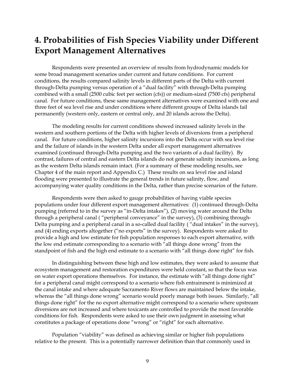# <span id="page-14-0"></span>**4. Probabilities of Fish Species Viability under Different Export Management Alternatives**

Respondents were presented an overview of results from hydrodynamic models for some broad management scenarios under current and future conditions. For current conditions, the results compared salinity levels in different parts of the Delta with current through-Delta pumping versus operation of a "dual facility" with through-Delta pumping combined with a small (2500 cubic feet per section (cfs)) or medium-sized (7500 cfs) peripheral canal. For future conditions, these same management alternatives were examined with one and three feet of sea level rise and under conditions where different groups of Delta islands fail permanently (western only, eastern or central only, and 20 islands across the Delta).

The modeling results for current conditions showed increased salinity levels in the western and southern portions of the Delta with higher levels of diversions from a peripheral canal. For future conditions, higher salinity incursions into the Delta occur with sea level rise and the failure of islands in the western Delta under all export management alternatives examined (continued through-Delta pumping and the two variants of a dual facility). By contrast, failures of central and eastern Delta islands do not generate salinity incursions, as long as the western Delta islands remain intact. (For a summary of these modeling results, see Chapter 4 of the main report and Appendix C.) These results on sea level rise and island flooding were presented to illustrate the general trends in future salinity, flow, and accompanying water quality conditions in the Delta, rather than precise scenarios of the future.

Respondents were then asked to gauge probabilities of having viable species populations under four different export management alternatives: (1) continued through-Delta pumping (referred to in the survey as "in-Delta intakes"), (2) moving water around the Delta through a peripheral canal ( "peripheral conveyance" in the survey), (3) combining through-Delta pumping and a peripheral canal in a so-called dual facility ( "dual intakes" in the survey), and (4) ending exports altogether ("no exports" in the survey). Respondents were asked to provide a high and low estimate for fish population responses to each export alternative, with the low end estimate corresponding to a scenario with "all things done wrong" from the standpoint of fish and the high end estimate to a scenario with "all things done right" for fish.

In distinguishing between these high and low estimates, they were asked to assume that ecosystem management and restoration expenditures were held constant, so that the focus was on water export operations themselves. For instance, the estimate with "all things done right" for a peripheral canal might correspond to a scenario where fish entrainment is minimized at the canal intake and where adequate Sacramento River flows are maintained below the intake, whereas the "all things done wrong" scenario would poorly manage both issues. Similarly, "all things done right" for the no export alternative might correspond to a scenario where upstream diversions are not increased and where toxicants are controlled to provide the most favorable conditions for fish. Respondents were asked to use their own judgment in assessing what constitutes a package of operations done "wrong" or "right" for each alternative.

Population "viability" was defined as achieving similar or higher fish populations relative to the present. This is a potentially narrower definition than that commonly used in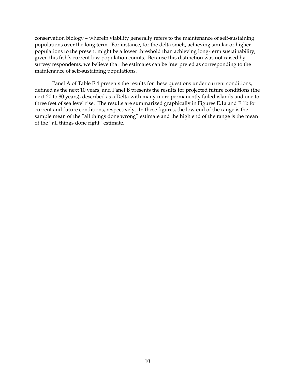conservation biology – wherein viability generally refers to the maintenance of self-sustaining populations over the long term. For instance, for the delta smelt, achieving similar or higher populations to the present might be a lower threshold than achieving long-term sustainability, given this fish's current low population counts. Because this distinction was not raised by survey respondents, we believe that the estimates can be interpreted as corresponding to the maintenance of self-sustaining populations.

Panel A of Table E.4 presents the results for these questions under current conditions, defined as the next 10 years, and Panel B presents the results for projected future conditions (the next 20 to 80 years), described as a Delta with many more permanently failed islands and one to three feet of sea level rise. The results are summarized graphically in Figures E.1a and E.1b for current and future conditions, respectively. In these figures, the low end of the range is the sample mean of the "all things done wrong" estimate and the high end of the range is the mean of the "all things done right" estimate.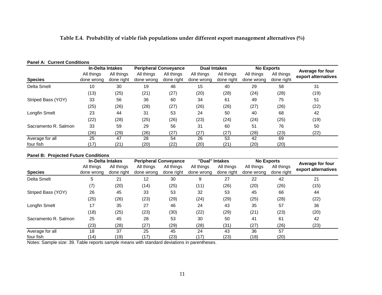#### **Table E.4. Probability of viable fish populations under different export management alternatives (%)**

#### **Panel A: Current Conditions**

|                      | <b>In-Delta Intakes</b> |            | <b>Peripheral Conveyance</b> |            | <b>Dual Intakes</b> |            | <b>No Exports</b> |            | Average for four    |  |
|----------------------|-------------------------|------------|------------------------------|------------|---------------------|------------|-------------------|------------|---------------------|--|
|                      | All things              | All things | All things                   | All things | All things          | All things | All things        | All things | export alternatives |  |
| <b>Species</b>       | done wrong              | done right | done wrong                   | done right | done wrong          | done right | done wrong        | done right |                     |  |
| Delta Smelt          | 10                      | 30         | 19                           | 46         | 15                  | 40         | 29                | 58         | 31                  |  |
|                      | (13)                    | (25)       | (21)                         | (27)       | (20)                | (28)       | (24)              | (28)       | (19)                |  |
| Striped Bass (YOY)   | 33                      | 56         | 36                           | 60         | 34                  | 61         | 49                | 75         | 51                  |  |
|                      | (25)                    | (26)       | (28)                         | (27)       | (26)                | (26)       | (27)              | (26)       | (22)                |  |
| Longfin Smelt        | 23                      | 44         | 31                           | 53         | 24                  | 50         | 40                | 68         | 42                  |  |
|                      | (22)                    | (28)       | (25)                         | (26)       | (23)                | (24)       | (24)              | (25)       | (19)                |  |
| Sacramento R. Salmon | 33                      | 59         | 29                           | 56         | 31                  | 60         | 51                | 76         | 50                  |  |
|                      | (26)                    | (29)       | (26)                         | (27)       | (27)                | (27)       | (28)              | (23)       | (22)                |  |
| Average for all      | 25                      | 47         | 28                           | 54         | 26                  | 53         | 42                | 69         |                     |  |
| four fish            | '17)                    | (21)       | (20)                         | (22)       | (20)                | (21)       | (20)              | (20)       |                     |  |

#### **Panel B: Projected Future Conditions**

|                      | <b>In-Delta Intakes</b> |            |            | <b>Peripheral Conveyance</b> |            | "Dual" Intakes | <b>No Exports</b> |            | Average for four    |  |
|----------------------|-------------------------|------------|------------|------------------------------|------------|----------------|-------------------|------------|---------------------|--|
|                      | All things              | All things | All things | All things                   | All things | All things     | All things        | All things | export alternatives |  |
| <b>Species</b>       | done wrong              | done right | done wrong | done right                   | done wrong | done right     | done wrong        | done right |                     |  |
| <b>Delta Smelt</b>   | 5                       | 21         | 12         | 30                           | 9          | 27             | 22                | 42         | 21                  |  |
|                      | (7)                     | (20)       | (14)       | (25)                         | (11)       | (26)           | (20)              | (26)       | (15)                |  |
| Striped Bass (YOY)   | 26                      | 45         | 33         | 53                           | 32         | 53             | 45                | 66         | 44                  |  |
|                      | (25)                    | (26)       | (23)       | (29)                         | (24)       | (29)           | (25)              | (28)       | (22)                |  |
| Longfin Smelt        | 17                      | 35         | 27         | 46                           | 24         | 43             | 35                | 57         | 36                  |  |
|                      | (18)                    | (25)       | (23)       | (30)                         | (22)       | (29)           | (21)              | (23)       | (20)                |  |
| Sacramento R. Salmon | 25                      | 45         | 28         | 53                           | 30         | 50             | 41                | 61         | 42                  |  |
|                      | (23)                    | (28)       | (27)       | (29)                         | (28)       | (31)           | (27)              | (26)       | (23)                |  |
| Average for all      | 18                      | 37         | 25         | 45                           | 24         | 43             | 36                | 57         |                     |  |
| four fish            | (14)                    | (19)       | (17)       | (23)                         | (17)       | (23)           | (18)              | (20)       |                     |  |

Notes: Sample size: 39. Table reports sample means with standard deviations in parentheses.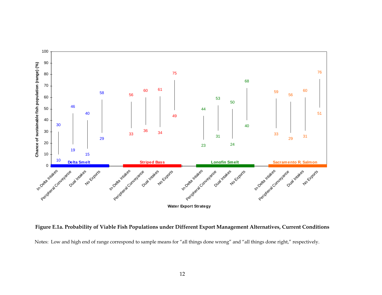

**Figure E.1a. Probability of Viable Fish Populations under Different Export Management Alternatives, Current Conditions**  Notes: Low and high end of range correspond to sample means for "all things done wrong" and "all things done right," respectively.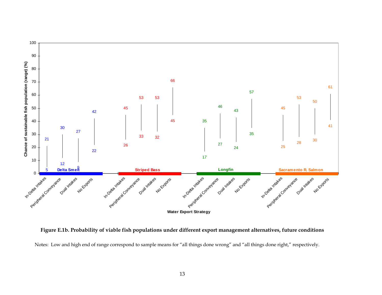

**Figure E.1b. Probability of viable fish populations under different export management alternatives, future conditions** 

Notes: Low and high end of range correspond to sample means for "all things done wrong" and "all things done right," respectively.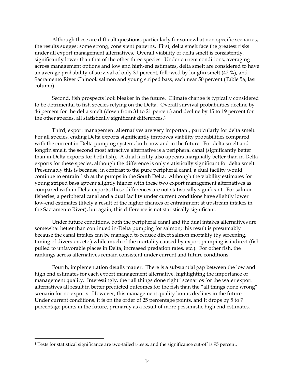<span id="page-19-0"></span>Although these are difficult questions, particularly for somewhat non-specific scenarios, the results suggest some strong, consistent patterns. First, delta smelt face the greatest risks under all export management alternatives. Overall viability of delta smelt is consistently, significantly lower than that of the other three species. Under current conditions, averaging across management options and low and high-end estimates, delta smelt are considered to have an average probability of survival of only 31 percent, followed by longfin smelt (42 %), and Sacramento River Chinook salmon and young striped bass, each near 50 percent (Table 5a, last column).

Second, fish prospects look bleaker in the future. Climate change is typically considered to be detrimental to fish species relying on the Delta. Overall survival probabilities decline by 46 percent for the delta smelt (down from 31 to 21 percent) and decline by 15 to 19 percent for the other species, all statistically significant differences.[1](#page-19-0)

Third, export management alternatives are very important, particularly for delta smelt. For all species, ending Delta exports significantly improves viability probabilities compared with the current in-Delta pumping system, both now and in the future. For delta smelt and longfin smelt, the second most attractive alternative is a peripheral canal (significantly better than in-Delta exports for both fish). A dual facility also appears marginally better than in-Delta exports for these species, although the difference is only statistically significant for delta smelt. Presumably this is because, in contrast to the pure peripheral canal, a dual facility would continue to entrain fish at the pumps in the South Delta. Although the viability estimates for young striped bass appear slightly higher with these two export management alternatives as compared with in-Delta exports, these differences are not statistically significant. For salmon fisheries, a peripheral canal and a dual facility under current conditions have slightly lower low-end estimates (likely a result of the higher chances of entrainment at upstream intakes in the Sacramento River), but again, this difference is not statistically significant.

Under future conditions, both the peripheral canal and the dual intakes alternatives are somewhat better than continued in-Delta pumping for salmon; this result is presumably because the canal intakes can be managed to reduce direct salmon mortality (by screening, timing of diversion, etc.) while much of the mortality caused by export pumping is indirect (fish pulled to unfavorable places in Delta, increased predation rates, etc.). For other fish, the rankings across alternatives remain consistent under current and future conditions.

Fourth, implementation details matter. There is a substantial gap between the low and high end estimates for each export management alternative, highlighting the importance of management quality. Interestingly, the "all things done right" scenarios for the water export alternatives all result in better predicted outcomes for the fish than the "all things done wrong" scenario for no exports. However, this management quality bonus declines in the future. Under current conditions, it is on the order of 25 percentage points, and it drops by 5 to 7 percentage points in the future, primarily as a result of more pessimistic high end estimates.

 $\overline{a}$ 

<sup>1</sup> Tests for statistical significance are two-tailed t-tests, and the significance cut-off is 95 percent.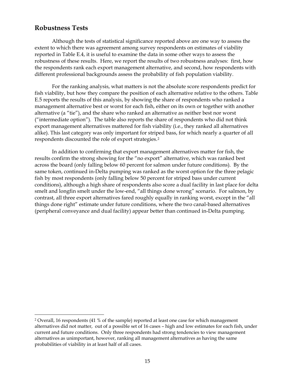### <span id="page-20-0"></span>**Robustness Tests**

<u>.</u>

Although the tests of statistical significance reported above are one way to assess the extent to which there was agreement among survey respondents on estimates of viability reported in Table E.4, it is useful to examine the data in some other ways to assess the robustness of these results. Here, we report the results of two robustness analyses: first, how the respondents rank each export management alternative, and second, how respondents with different professional backgrounds assess the probability of fish population viability.

For the ranking analysis, what matters is not the absolute score respondents predict for fish viability, but how they compare the position of each alternative relative to the others. Table E.5 reports the results of this analysis, by showing the share of respondents who ranked a management alternative best or worst for each fish, either on its own or together with another alternative (a "tie"), and the share who ranked an alternative as neither best nor worst ("intermediate option"). The table also reports the share of respondents who did not think export management alternatives mattered for fish viability (i.e., they ranked all alternatives alike). This last category was only important for strip[e](#page-20-0)d bass, for which nearly a quarter of all respondents discounted the role of export strategies.[2](#page-20-0)

In addition to confirming that export management alternatives matter for fish, the results confirm the strong showing for the "no export" alternative, which was ranked best across the board (only falling below 60 percent for salmon under future conditions). By the same token, continued in-Delta pumping was ranked as the worst option for the three pelagic fish by most respondents (only falling below 50 percent for striped bass under current conditions), although a high share of respondents also score a dual facility in last place for delta smelt and longfin smelt under the low-end, "all things done wrong" scenario. For salmon, by contrast, all three export alternatives fared roughly equally in ranking worst, except in the "all things done right" estimate under future conditions, where the two canal-based alternatives (peripheral conveyance and dual facility) appear better than continued in-Delta pumping.

<sup>2</sup> Overall, 16 respondents (41 % of the sample) reported at least one case for which management alternatives did not matter, out of a possible set of 16 cases – high and low estimates for each fish, under current and future conditions. Only three respondents had strong tendencies to view management alternatives as unimportant, however, ranking all management alternatives as having the same probabilities of viability in at least half of all cases.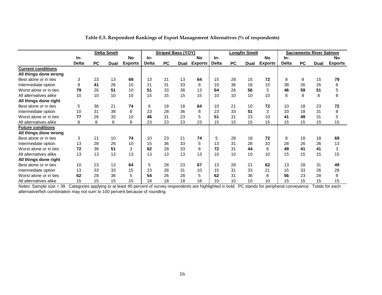|                           |              |           | <b>Delta Smelt</b> |                |              | <b>Striped Bass (YOY)</b> |      |                |              |           | <b>Longfin Smelt</b> |                |              |           | <b>Sacramento River Salmon</b> |                |
|---------------------------|--------------|-----------|--------------------|----------------|--------------|---------------------------|------|----------------|--------------|-----------|----------------------|----------------|--------------|-----------|--------------------------------|----------------|
|                           | In-          |           |                    | <b>No</b>      | In-          |                           |      | <b>No</b>      | In-          |           |                      | <b>No</b>      | In-          |           |                                | No             |
|                           | <b>Delta</b> | <b>PC</b> | Dual               | <b>Exports</b> | <b>Delta</b> | <b>PC</b>                 | Dual | <b>Exports</b> | <b>Delta</b> | <b>PC</b> | Dual                 | <b>Exports</b> | <b>Delta</b> | <b>PC</b> | Dual                           | <b>Exports</b> |
| <b>Current conditions</b> |              |           |                    |                |              |                           |      |                |              |           |                      |                |              |           |                                |                |
| All things done wrong     |              |           |                    |                |              |                           |      |                |              |           |                      |                |              |           |                                |                |
| Best alone or in ties     | 3            | 23        | 13                 | 69             | 13           | 21                        | 13   | 64             | 15           | 28        | 15                   | 72             | 8            | 8         | 15                             | 79             |
| Intermediate option       | 8            | 41        | 26                 | 10             | 21           | 31                        | 33   | 8              | 10           | 36        | 18                   | 15             | 38           | 26        | 26                             | 8              |
| Worst alone or in ties    | 79           | 26        | 51                 | 10             | 51           | 33                        | 38   | 13             | 64           | 26        | 56                   | 3              | 46           | 59        | 51                             | 5              |
| All alternatives alike    | 10           | 10        | 10                 | 10             | 15           | 15                        | 15   | 15             | 10           | 10        | 10                   | 10             | 8            | 8         | 8                              | 8              |
| All things done right     |              |           |                    |                |              |                           |      |                |              |           |                      |                |              |           |                                |                |
| Best alone or in ties     | 5            | 36        | 21                 | 74             | 8            | 18                        | 18   | 64             | 10           | 21        | 10                   | 72             | 10           | 18        | 23                             | 72             |
| Intermediate option       | 10           | 31        | 38                 | 8              | 23           | 28                        | 36   | 8              | 23           | 33        | 51                   | 3              | 33           | 18        | 31                             | 8              |
| Worst alone or in ties    | 77           | 26        | 33                 | 10             | 46           | 31                        | 23   | 5              | 51           | 31        | 23                   | 10             | 41           | 49        | 31                             | 5              |
| All alternatives alike    | 8            | 8         | 8                  | 8              | 23           | 23                        | 23   | 23             | 15           | 15        | 15                   | 15             | 15           | 15        | 15                             | 15             |
| <b>Future conditions</b>  |              |           |                    |                |              |                           |      |                |              |           |                      |                |              |           |                                |                |
| All things done wrong     |              |           |                    |                |              |                           |      |                |              |           |                      |                |              |           |                                |                |
| Best alone or in ties     | 3            | 21        | 10                 | 74             | 10           | 23                        | 21   | 74             | 5            | 28        | 18                   | 72             | 8            | 18        | 18                             | 69             |
| Intermediate option       | 13           | 28        | 26                 | 10             | 15           | 36                        | 33   | 5              | 13           | 31        | 28                   | 10             | 28           | 26        | 26                             | 13             |
| Worst alone or in ties    | 72           | 38        | 51                 | 3              | 62           | 28                        | 33   | 8              | 72           | 31        | 44                   | 8              | 49           | 41        | 41                             | 3              |
| All alternatives alike    | 13           | 13        | 13                 | 13             | 13           | 13                        | 13   | 13             | 10           | 10        | 10                   | 10             | 15           | 15        | 15                             | 15             |
| All things done right     |              |           |                    |                |              |                           |      |                |              |           |                      |                |              |           |                                |                |
| Best alone or in ties     | 10           | 23        | 13                 | 64             | 5            | 28                        | 23   | 67             | 13           | 28        | 21                   | 62             | 13           | 28        | 31                             | 49             |
| Intermediate option       | 13           | 33        | 33                 | 15             | 23           | 28                        | 31   | 10             | 15           | 31        | 33                   | 21             | 15           | 33        | 26                             | 28             |
| Worst alone or in ties    | 62           | 28        | 38                 | 5              | 54           | 26                        | 28   | 5              | 62           | 31        | 36                   | 8              | 56           | 23        | 28                             | 8              |
| All alternatives alike    | 15           | 15        | 15                 | 15             | 18           | 18                        | 18   | 18             | 10           | 10        | 10                   | 10             | 15           | 15        | 15                             | 15             |

#### **Table E.5. Respondent Rankings of Export Management Alternatives (% of respondents)**

 Notes: Sa alternativ e/fish combination may not sum to 100 percent because of rounding. mple size = 39. Categories applying to at least 40 percent of survey respondents are highlighted in bold. PC stands for peripheral conveyance. Totals for each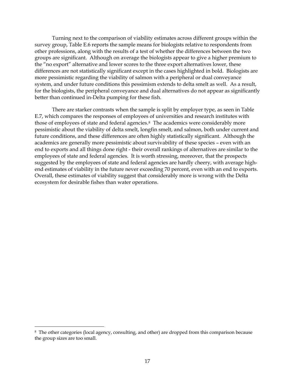<span id="page-22-0"></span>Turning next to the comparison of viability estimates across different groups within the survey group, Table E.6 reports the sample means for biologists relative to respondents from other professions, along with the results of a test of whether the differences between the two groups are significant. Although on average the biologists appear to give a higher premium to the "no export" alternative and lower scores to the three export alternatives lower, these differences are not statistically significant except in the cases highlighted in bold. Biologists are more pessimistic regarding the viability of salmon with a peripheral or dual conveyance system, and under future conditions this pessimism extends to delta smelt as well. As a result, for the biologists, the peripheral conveyance and dual alternatives do not appear as significantly better than continued in-Delta pumping for these fish.

There are starker contrasts when the sample is split by employer type, as seen in Table E.7, which compares the responses of employees of universities and research institutes with those of employees of state and federal agencies.[8](#page-22-0) The academics were considerably more pessimistic about the viability of delta smelt, longfin smelt, and salmon, both under current and future conditions, and these differences are often highly statistically significant. Although the academics are generally more pessimistic about survivability of these species – even with an end to exports and all things done right - their overall rankings of alternatives are similar to the employees of state and federal agencies. It is worth stressing, moreover, that the prospects suggested by the employees of state and federal agencies are hardly cheery, with average highend estimates of viability in the future never exceeding 70 percent, even with an end to exports. Overall, these estimates of viability suggest that considerably more is wrong with the Delta ecosystem for desirable fishes than water operations.

-

<sup>8</sup> The other categories (local agency, consulting, and other) are dropped from this comparison because the group sizes are too small.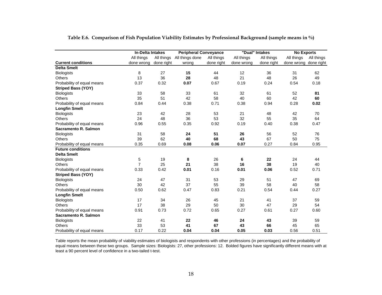|                            | <b>In-Delta Intakes</b> |            | <b>Peripheral Conveyance</b> |            |            | "Dual" Intakes | <b>No Exports</b> |            |
|----------------------------|-------------------------|------------|------------------------------|------------|------------|----------------|-------------------|------------|
|                            | All things              | All things | All things done              | All things | All things | All things     | All things        | All things |
| <b>Current conditions</b>  | done wrong              | done right | wrong                        | done right | done wrong | done right     | done wrong        | done right |
| <b>Delta Smelt</b>         |                         |            |                              |            |            |                |                   |            |
| <b>Biologists</b>          | 8                       | 27         | 15                           | 44         | 12         | 36             | 31                | 62         |
| <b>Others</b>              | 13                      | 36         | 28                           | 48         | 21         | 48             | 26                | 49         |
| Probability of equal means | 0.37                    | 0.32       | 0.07                         | 0.67       | 0.19       | 0.24           | 0.54              | 0.18       |
| <b>Striped Bass (YOY)</b>  |                         |            |                              |            |            |                |                   |            |
| <b>Biologists</b>          | 33                      | 58         | 33                           | 61         | 32         | 61             | 52                | 81         |
| <b>Others</b>              | 35                      | 51         | 42                           | 58         | 40         | 60             | 42                | 60         |
| Probability of equal means | 0.84                    | 0.44       | 0.38                         | 0.71       | 0.38       | 0.94           | 0.28              | 0.02       |
| <b>Longfin Smelt</b>       |                         |            |                              |            |            |                |                   |            |
| <b>Biologists</b>          | 23                      | 42         | 28                           | 53         | 21         | 48             | 42                | 70         |
| <b>Others</b>              | 24                      | 48         | 36                           | 53         | 32         | 55             | 35                | 64         |
| Probability of equal means | 0.96                    | 0.55       | 0.35                         | 0.92       | 0.19       | 0.40           | 0.38              | 0.47       |
| Sacramento R. Salmon       |                         |            |                              |            |            |                |                   |            |
| <b>Biologists</b>          | 31                      | 58         | 24                           | 51         | 26         | 56             | 52                | 76         |
| <b>Others</b>              | 39                      | 62         | 40                           | 68         | 43         | 67             | 50                | 75         |
| Probability of equal means | 0.35                    | 0.69       | 0.08                         | 0.06       | 0.07       | 0.27           | 0.84              | 0.95       |
| <b>Future conditions</b>   |                         |            |                              |            |            |                |                   |            |
| <b>Delta Smelt</b>         |                         |            |                              |            |            |                |                   |            |
| <b>Biologists</b>          | 5                       | 19         | 8                            | 26         | 6          | 22             | 24                | 44         |
| <b>Others</b>              | $\overline{7}$          | 25         | 21                           | 38         | 16         | 38             | 19                | 40         |
| Probability of equal means | 0.33                    | 0.42       | 0.01                         | 0.16       | 0.01       | 0.06           | 0.52              | 0.71       |
| <b>Striped Bass (YOY)</b>  |                         |            |                              |            |            |                |                   |            |
| <b>Biologists</b>          | 24                      | 47         | 31                           | 53         | 29         | 51             | 47                | 69         |
| <b>Others</b>              | 30                      | 42         | 37                           | 55         | 39         | 58             | 40                | 58         |
| Probability of equal means | 0.50                    | 0.62       | 0.47                         | 0.83       | 0.21       | 0.54           | 0.44              | 0.27       |
| <b>Longfin Smelt</b>       |                         |            |                              |            |            |                |                   |            |
| <b>Biologists</b>          | 17                      | 34         | 26                           | 45         | 21         | 41             | 37                | 59         |
| <b>Others</b>              | 17                      | 38         | 29                           | 50         | 30         | 47             | 29                | 54         |
| Probability of equal means | 0.91                    | 0.73       | 0.72                         | 0.65       | 0.27       | 0.61           | 0.27              | 0.60       |
| Sacramento R. Salmon       |                         |            |                              |            |            |                |                   |            |
| <b>Biologists</b>          | 22                      | 41         | 22                           | 46         | 24         | 43             | 39                | 59         |
| <b>Others</b>              | 33                      | 53         | 41                           | 67         | 43         | 66             | 45                | 65         |
| Probability of equal means | 0.17                    | 0.22       | 0.04                         | 0.04       | 0.05       | 0.03           | 0.56              | 0.51       |

**Table E.6. Comparison of Fish Population Viability Estimates by Professional Background (sample means in %)** 

Table reports the mean probability of viability estimates of biologists and respondents with other professions (in percentages) and the probability of equal means between these two groups. Sample sizes: Biologists: 27, other professions: 12. Bolded figures have significantly different means with at least a 90 percent level of confidence in a two-tailed t-test.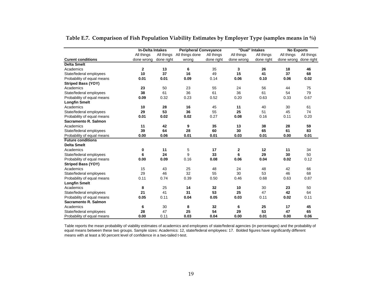|                            | <b>In-Delta Intakes</b> |            | <b>Peripheral Conveyance</b> |            |             | "Dual" Intakes | <b>No Exports</b> |            |
|----------------------------|-------------------------|------------|------------------------------|------------|-------------|----------------|-------------------|------------|
|                            | All things              | All things | All things done              | All things | All things  | All things     | All things        | All things |
| <b>Curent conditions</b>   | done wrong              | done right | wrong                        | done right | done wrong  | done right     | done wrong        | done right |
| <b>Delta Smelt</b>         |                         |            |                              |            |             |                |                   |            |
| Academics                  | 2                       | 13         | 6                            | 35         | 3           | 26             | 18                | 46         |
| State/federal employees    | 10                      | 37         | 16                           | 49         | 15          | 41             | 37                | 68         |
| Probability of equal means | 0.01                    | 0.01       | 0.09                         | 0.14       | 0.06        | 0.10           | 0.06              | 0.02       |
| <b>Striped Bass (YOY)</b>  |                         |            |                              |            |             |                |                   |            |
| Academics                  | 23                      | 50         | 23                           | 55         | 24          | 56             | 44                | 75         |
| State/federal employees    | 38                      | 61         | 36                           | 61         | 36          | 61             | 54                | 79         |
| Probability of equal means | 0.09                    | 0.32       | 0.23                         | 0.52       | 0.20        | 0.63           | 0.33              | 0.67       |
| <b>Longfin Smelt</b>       |                         |            |                              |            |             |                |                   |            |
| Academics                  | 10                      | 28         | 16                           | 45         | 11          | 40             | 30                | 61         |
| State/federal employees    | 29                      | 53         | 36                           | 55         | 25          | 51             | 45                | 74         |
| Probability of equal means | 0.01                    | 0.02       | 0.02                         | 0.27       | 0.08        | 0.16           | 0.11              | 0.20       |
| Sacramento R. Salmon       |                         |            |                              |            |             |                |                   |            |
| Academics                  | 11                      | 42         | 9                            | 35         | 13          | 38             | 28                | 59         |
| State/federal employees    | 39                      | 64         | 28                           | 60         | 30          | 65             | 61                | 83         |
| Probability of equal means | 0.00                    | 0.06       | 0.01                         | 0.01       | 0.03        | 0.01           | 0.00              | 0.01       |
| <b>Future conditions</b>   |                         |            |                              |            |             |                |                   |            |
| <b>Delta Smelt</b>         |                         |            |                              |            |             |                |                   |            |
| Academics                  | 0                       | 11         | 5                            | 17         | $\mathbf 2$ | 12             | 11                | 34         |
| State/federal employees    | 6                       | 24         | 9                            | 33         | 6           | 29             | 30                | 50         |
| Probability of equal means | 0.00                    | 0.09       | 0.16                         | 0.08       | 0.06        | 0.04           | 0.02              | 0.12       |
| <b>Striped Bass (YOY)</b>  |                         |            |                              |            |             |                |                   |            |
| Academics                  | 15                      | 43         | 25                           | 48         | 24          | 48             | 42                | 66         |
| State/federal employees    | 29                      | 46         | 32                           | 55         | 30          | 53             | 46                | 68         |
| Probability of equal means | 0.11                    | 0.74       | 0.39                         | 0.50       | 0.46        | 0.68           | 0.63              | 0.87       |
| <b>Longfin Smelt</b>       |                         |            |                              |            |             |                |                   |            |
| Academics                  | 8                       | 25         | 14                           | 32         | 10          | 30             | 23                | 50         |
| State/federal employees    | 21                      | 41         | 31                           | 53         | 25          | 47             | 42                | 64         |
| Probability of equal means | 0.05                    | 0.11       | 0.04                         | 0.05       | 0.03        | 0.11           | 0.02              | 0.11       |
| Sacramento R. Salmon       |                         |            |                              |            |             |                |                   |            |
| Academics                  | 6                       | 30         | 8                            | 32         | 6           | 25             | 17                | 45         |
| State/federal employees    | 28                      | 47         | 25                           | 54         | 29          | 53             | 47                | 65         |
| Probability of equal means | 0.00                    | 0.11       | 0.03                         | 0.04       | 0.00        | 0.01           | 0.00              | 0.06       |

**Table E.7. Comparison of Fish Population Viability Estimates by Employer Type (samples means in %)** 

Table reports the mean probability of viability estimates of academics and employees of state/federal agencies (in percentages) and the probability of equal means between these two groups. Sample sizes: Academics: 12, state/federal employees: 17. Bolded figures have significantly different means with at least a 90 percent level of confidence in a two-tailed t-test.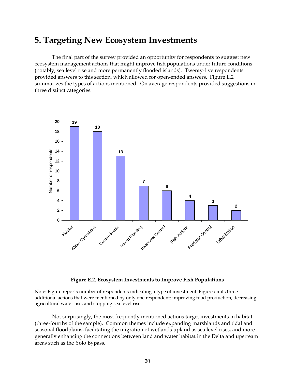# <span id="page-25-0"></span>**5. Targeting New Ecosystem Investments**

The final part of the survey provided an opportunity for respondents to suggest new ecosystem management actions that might improve fish populations under future conditions (notably, sea level rise and more permanently flooded islands). Twenty-five respondents provided answers to this section, which allowed for open-ended answers. Figure E.2 summarizes the types of actions mentioned. On average respondents provided suggestions in three distinct categories.



#### **Figure E.2. Ecosystem Investments to Improve Fish Populations**

Note: Figure reports number of respondents indicating a type of investment. Figure omits three additional actions that were mentioned by only one respondent: improving food production, decreasing agricultural water use, and stopping sea level rise.

Not surprisingly, the most frequently mentioned actions target investments in habitat (three-fourths of the sample). Common themes include expanding marshlands and tidal and seasonal floodplains, facilitating the migration of wetlands upland as sea level rises, and more generally enhancing the connections between land and water habitat in the Delta and upstream areas such as the Yolo Bypass.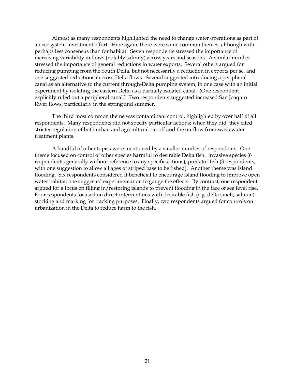Almost as many respondents highlighted the need to change water operations as part of an ecosystem investment effort. Here again, there were some common themes, although with perhaps less consensus than for habitat. Seven respondents stressed the importance of increasing variability in flows (notably salinity) across years and seasons. A similar number stressed the importance of general reductions in water exports. Several others argued for reducing pumping from the South Delta, but not necessarily a reduction in exports per se, and one suggested reductions in cross-Delta flows. Several suggested introducing a peripheral canal as an alternative to the current through-Delta pumping system, in one case with an initial experiment by isolating the eastern Delta as a partially isolated canal. (One respondent explicitly ruled out a peripheral canal.) Two respondents suggested increased San Joaquin River flows, particularly in the spring and summer.

The third most common theme was contaminant control, highlighted by over half of all respondents. Many respondents did not specify particular actions; when they did, they cited stricter regulation of both urban and agricultural runoff and the outflow from wastewater treatment plants.

A handful of other topics were mentioned by a smaller number of respondents. One theme focused on control of other species harmful to desirable Delta fish: invasive species (6 respondents, generally without reference to any specific actions); predator fish (3 respondents, with one suggestion to allow all ages of striped bass to be fished). Another theme was island flooding. Six respondents considered it beneficial to encourage island flooding to improve open water habitat; one suggested experimentation to gauge the effects. By contrast, one respondent argued for a focus on filling in/restoring islands to prevent flooding in the face of sea level rise. Four respondents focused on direct interventions with desirable fish (e.g. delta smelt, salmon): stocking and marking for tracking purposes. Finally, two respondents argued for controls on urbanization in the Delta to reduce harm to the fish.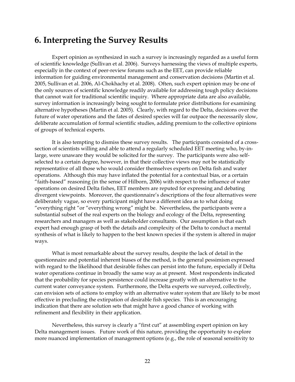### <span id="page-27-0"></span>**6. Interpreting the Survey Results**

Expert opinion as synthesized in such a survey is increasingly regarded as a useful form of scientific knowledge (Sullivan et al. 2006). Surveys harnessing the views of multiple experts, especially in the context of peer-review forums such as the EET, can provide reliable information for guiding environmental management and conservation decisions (Martin et al. 2005, Sullivan et al. 2006, Al-Chokhachy et al. 2008). Often, such expert opinion may be one of the only sources of scientific knowledge readily available for addressing tough policy decisions that cannot wait for traditional scientific inquiry. Where appropriate data are also available, survey information is increasingly being sought to formulate prior distributions for examining alternative hypotheses (Martin et al. 2005). Clearly, with regard to the Delta, decisions over the future of water operations and the fates of desired species will far outpace the necessarily slow, deliberate accumulation of formal scientific studies, adding premium to the collective opinions of groups of technical experts.

It is also tempting to dismiss these survey results. The participants consisted of a crosssection of scientists willing and able to attend a regularly scheduled EET meeting who, by-inlarge, were unaware they would be solicited for the survey. The participants were also selfselected to a certain degree, however, in that their collective views may not be statistically representative of all those who would consider themselves experts on Delta fish and water operations. Although this may have inflated the potential for a contextual bias, or a certain "faith-based" reasoning (in the sense of Hilborn, 2006) with respect to the influence of water operations on desired Delta fishes, EET members are reputed for expressing and debating divergent viewpoints. Moreover, the questionnaire's descriptions of the four alternatives were deliberately vague, so every participant might have a different idea as to what doing "everything right "or "everything wrong" might be. Nevertheless, the participants were a substantial subset of the real experts on the biology and ecology of the Delta, representing researchers and managers as well as stakeholder consultants. Our assumption is that each expert had enough grasp of both the details and complexity of the Delta to conduct a mental synthesis of what is likely to happen to the best known species if the system is altered in major ways.

What is most remarkable about the survey results, despite the lack of detail in the questionnaire and potential inherent biases of the method, is the general pessimism expressed with regard to the likelihood that desirable fishes can persist into the future, especially if Delta water operations continue in broadly the same way as at present. Most respondents indicated that the probability for species persistence could increase greatly with an alternative to the current water conveyance system. Furthermore, the Delta experts we surveyed, collectively, can envision sets of actions to employ with an alternative water system that are likely to be most effective in precluding the extirpation of desirable fish species. This is an encouraging indication that there are solution sets that might have a good chance of working with refinement and flexibility in their application.

Nevertheless, this survey is clearly a "first cut" at assembling expert opinion on key Delta management issues. Future work of this nature, providing the opportunity to explore more nuanced implementation of management options (e.g., the role of seasonal sensitivity to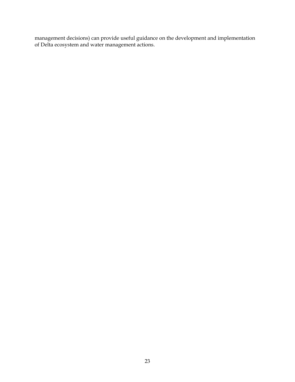management decisions) can provide useful guidance on the development and implementation of Delta ecosystem and water management actions.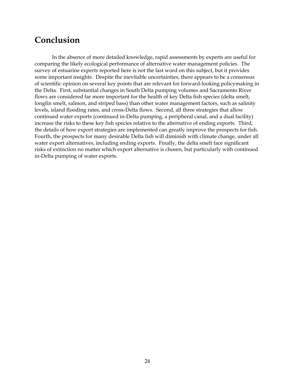# <span id="page-29-0"></span>**Conclusion**

In the absence of more detailed knowledge, rapid assessments by experts are useful for comparing the likely ecological performance of alternative water management policies. The survey of estuarine experts reported here is not the last word on this subject, but it provides some important insights. Despite the inevitable uncertainties, there appears to be a consensus of scientific opinion on several key points that are relevant for forward-looking policymaking in the Delta. First, substantial changes in South Delta pumping volumes and Sacramento River flows are considered far more important for the health of key Delta fish species (delta smelt, longfin smelt, salmon, and striped bass) than other water management factors, such as salinity levels, island flooding rates, and cross-Delta flows. Second, all three strategies that allow continued water exports (continued in-Delta pumping, a peripheral canal, and a dual facility) increase the risks to these key fish species relative to the alternative of ending exports. Third, the details of how export strategies are implemented can greatly improve the prospects for fish. Fourth, the prospects for many desirable Delta fish will diminish with climate change, under all water export alternatives, including ending exports. Finally, the delta smelt face significant risks of extinction no matter which export alternative is chosen, but particularly with continued in-Delta pumping of water exports.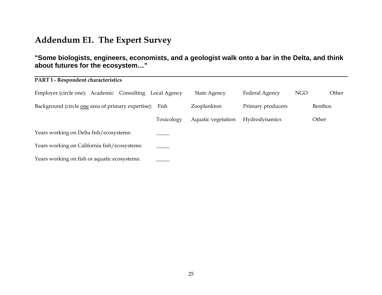# **Addendum E1. The Expert Survey**

### **"Some biologists, engineers, economists, and a geologist walk onto a bar in the Delta, and think about futures for the ecosystem…"**

<span id="page-30-0"></span>

| PART I - Respondent characteristics                     |              |                     |                   |            |                |
|---------------------------------------------------------|--------------|---------------------|-------------------|------------|----------------|
| Employer (circle one): Academic Consulting              | Local Agency | <b>State Agency</b> | Federal Agency    | <b>NGO</b> | Other          |
| Background (circle one area of primary expertise): Fish |              | Zooplankton         | Primary producers |            | <b>Benthos</b> |
|                                                         | Toxicology   | Aquatic vegetation  | Hydrodynamics     |            | Other          |
| Years working on Delta fish/ecosystems:                 |              |                     |                   |            |                |
| Years working on California fish/ecosystems:            |              |                     |                   |            |                |
| Years working on fish or aquatic ecosystems:            |              |                     |                   |            |                |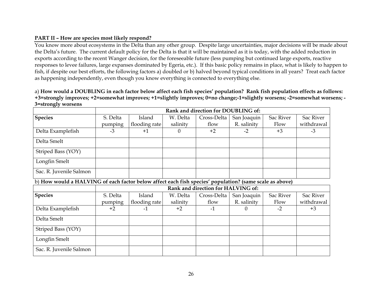#### **PART II – How are species most likely respond?**

You know more about ecosystems in the Delta than any other group. Despite large uncertainties, major decisions will be made about the Delta's future. The current default policy for the Delta is that it will be maintained as it is today, with the added reduction in exports according to the recent Wanger decision, for the foreseeable future (less pumping but continued large exports, reactive responses to levee failures, large expanses dominated by Egeria, etc.). If this basic policy remains in place, what is likely to happen to fish, if despite our best efforts, the following factors a) doubled or b) halved beyond typical conditions in all years? Treat each factor as happening independently, even though you know everything is connected to everything else.

a) **How would a DOUBLING in each factor below affect each fish species' population? Rank fish population effects as follows: +3=strongly improves; +2=somewhat improves; +1=slightly improves; 0=no change;-1=slightly worsens; -2=somewhat worsens; - 3=strongly worsens** 

|                                                                                                         | Rank and direction for DOUBLING of: |               |          |                                    |             |           |            |  |  |  |  |  |
|---------------------------------------------------------------------------------------------------------|-------------------------------------|---------------|----------|------------------------------------|-------------|-----------|------------|--|--|--|--|--|
| <b>Species</b>                                                                                          | S. Delta                            | Island        | W. Delta | Cross-Delta                        | San Joaquin | Sac River | Sac River  |  |  |  |  |  |
|                                                                                                         | pumping                             | flooding rate | salinity | flow                               | R. salinity | Flow      | withdrawal |  |  |  |  |  |
| Delta Examplefish                                                                                       | $-3$                                | $+1$          | $\theta$ | $+2$                               | $-2$        | $+3$      | $-3$       |  |  |  |  |  |
| Delta Smelt                                                                                             |                                     |               |          |                                    |             |           |            |  |  |  |  |  |
| Striped Bass (YOY)                                                                                      |                                     |               |          |                                    |             |           |            |  |  |  |  |  |
| Longfin Smelt                                                                                           |                                     |               |          |                                    |             |           |            |  |  |  |  |  |
| Sac. R. Juvenile Salmon                                                                                 |                                     |               |          |                                    |             |           |            |  |  |  |  |  |
| b) How would a HALVING of each factor below affect each fish species' population? (same scale as above) |                                     |               |          |                                    |             |           |            |  |  |  |  |  |
|                                                                                                         |                                     |               |          | Rank and direction for HALVING of: |             |           |            |  |  |  |  |  |
| <b>Species</b>                                                                                          | S. Delta                            | Island        | W. Delta | Cross-Delta                        | San Joaquin | Sac River | Sac River  |  |  |  |  |  |
|                                                                                                         | pumping                             | flooding rate | salinity | flow                               | R. salinity | Flow      | withdrawal |  |  |  |  |  |
| Delta Examplefish                                                                                       | $+2$                                | $-1$          | $+2$     | $-1$                               | $\Omega$    | $-2$      | $+3$       |  |  |  |  |  |
| Delta Smelt                                                                                             |                                     |               |          |                                    |             |           |            |  |  |  |  |  |
| Striped Bass (YOY)                                                                                      |                                     |               |          |                                    |             |           |            |  |  |  |  |  |
| Longfin Smelt                                                                                           |                                     |               |          |                                    |             |           |            |  |  |  |  |  |
| Sac. R. Juvenile Salmon                                                                                 |                                     |               |          |                                    |             |           |            |  |  |  |  |  |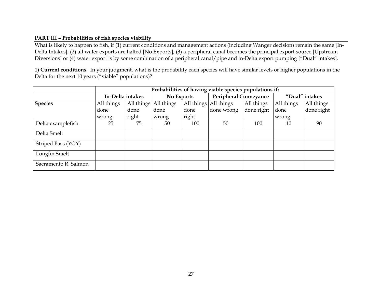#### **PART III – Probabilities of fish species viability**

What is likely to happen to fish, if (1) current conditions and management actions (including Wanger decision) remain the same [In-Delta Intakes], (2) all water exports are halted [No Exports], (3) a peripheral canal becomes the principal export source [Upstream Diversions] or (4) water export is by some combination of a peripheral canal/pipe and in-Delta export pumping ["Dual" intakes].

**1) Current conditions** In your judgment, what is the probability each species will have similar levels or higher populations in the Delta for the next 10 years ("viable" populations)?

|                      | Probabilities of having viable species populations if: |       |                       |       |                              |            |                |            |  |  |
|----------------------|--------------------------------------------------------|-------|-----------------------|-------|------------------------------|------------|----------------|------------|--|--|
|                      | In-Delta intakes                                       |       | No Exports            |       | <b>Peripheral Conveyance</b> |            | "Dual" intakes |            |  |  |
| <b>Species</b>       | All things                                             |       | All things All things |       | All things All things        | All things | All things     | All things |  |  |
|                      | done                                                   | done  | done                  | done  | done wrong                   | done right | done           | done right |  |  |
|                      | wrong                                                  | right | wrong                 | right |                              |            | wrong          |            |  |  |
| Delta examplefish    | 25                                                     | 75    | 50                    | 100   | 50                           | 100        | 10             | 90         |  |  |
| Delta Smelt          |                                                        |       |                       |       |                              |            |                |            |  |  |
| Striped Bass (YOY)   |                                                        |       |                       |       |                              |            |                |            |  |  |
| Longfin Smelt        |                                                        |       |                       |       |                              |            |                |            |  |  |
| Sacramento R. Salmon |                                                        |       |                       |       |                              |            |                |            |  |  |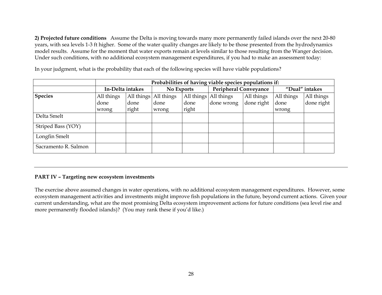**2) Projected future conditions** Assume the Delta is moving towards many more permanently failed islands over the next 20-80 years, with sea levels 1-3 ft higher. Some of the water quality changes are likely to be those presented from the hydrodynamics model results. Assume for the moment that water exports remain at levels similar to those resulting from the Wanger decision. Under such conditions, with no additional ecosystem management expenditures, if you had to make an assessment today:

In your judgment, what is the probability that each of the following species will have viable populations?

|                      | Probabilities of having viable species populations if: |                       |            |       |                              |            |                |            |  |  |
|----------------------|--------------------------------------------------------|-----------------------|------------|-------|------------------------------|------------|----------------|------------|--|--|
|                      | In-Delta intakes                                       |                       | No Exports |       | <b>Peripheral Conveyance</b> |            | "Dual" intakes |            |  |  |
| <b>Species</b>       | All things                                             | All things All things |            |       | All things All things        | All things | All things     | All things |  |  |
|                      | done                                                   | done                  | done       | done  | done wrong                   | done right | done           | done right |  |  |
|                      | wrong                                                  | right                 | wrong      | right |                              |            | wrong          |            |  |  |
| Delta Smelt          |                                                        |                       |            |       |                              |            |                |            |  |  |
| Striped Bass (YOY)   |                                                        |                       |            |       |                              |            |                |            |  |  |
| Longfin Smelt        |                                                        |                       |            |       |                              |            |                |            |  |  |
| Sacramento R. Salmon |                                                        |                       |            |       |                              |            |                |            |  |  |

#### **PART IV – Targeting new ecosystem investments**

The exercise above assumed changes in water operations, with no additional ecosystem management expenditures. However, some ecosystem management activities and investments might improve fish populations in the future, beyond current actions. Given your current understanding, what are the most promising Delta ecosystem improvement actions for future conditions (sea level rise and more permanently flooded islands)? (You may rank these if you'd like.)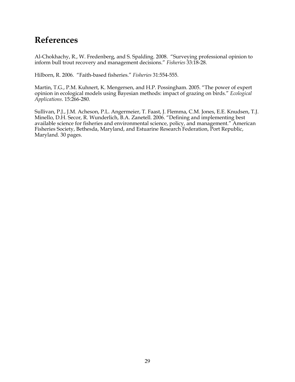# <span id="page-34-0"></span>**References**

Al-Chokhachy, R., W. Fredenberg, and S. Spalding. 2008. "Surveying professional opinion to inform bull trout recovery and management decisions." *Fisheries* 33:18-28.

Hilborn, R. 2006. "Faith-based fisheries." *Fisheries* 31:554-555.

Martin, T.G., P.M. Kuhnert, K. Mengersen, and H.P. Possingham. 2005. "The power of expert opinion in ecological models using Bayesian methods: impact of grazing on birds." *Ecological Applications*. 15:266-280.

Sullivan, P.J., J.M. Acheson, P.L. Angermeier, T. Faast, J. Flemma, C.M. Jones, E.E. Knudsen, T.J. Minello, D.H. Secor, R. Wunderlich, B.A. Zanetell. 2006. "Defining and implementing best available science for fisheries and environmental science, policy, and management." American Fisheries Society, Bethesda, Maryland, and Estuarine Research Federation, Port Republic, Maryland. 30 pages.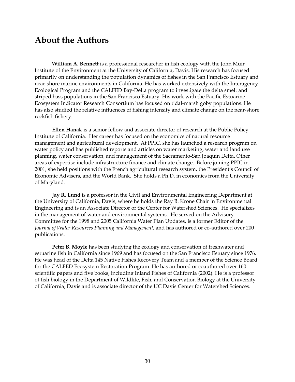### <span id="page-35-0"></span>**About the Authors**

**William A. Bennett** is a professional researcher in fish ecology with the John Muir Institute of the Environment at the University of California, Davis. His research has focused primarily on understanding the population dynamics of fishes in the San Francisco Estuary and near-shore marine environments in California. He has worked extensively with the Interagency Ecological Program and the CALFED Bay-Delta program to investigate the delta smelt and striped bass populations in the San Francisco Estuary. His work with the Pacific Estuarine Ecosystem Indicator Research Consortium has focused on tidal-marsh goby populations. He has also studied the relative influences of fishing intensity and climate change on the near-shore rockfish fishery.

**Ellen Hanak** is a senior fellow and associate director of research at the Public Policy Institute of California. Her career has focused on the economics of natural resource management and agricultural development. At PPIC, she has launched a research program on water policy and has published reports and articles on water marketing, water and land use planning, water conservation, and management of the Sacramento-San Joaquin Delta. Other areas of expertise include infrastructure finance and climate change. Before joining PPIC in 2001, she held positions with the French agricultural research system, the President's Council of Economic Advisers, and the World Bank. She holds a Ph.D. in economics from the University of Maryland.

**Jay R. Lund** is a professor in the Civil and Environmental Engineering Department at the University of California, Davis, where he holds the Ray B. Krone Chair in Environmental Engineering and is an Associate Director of the Center for Watershed Sciences. He specializes in the management of water and environmental systems. He served on the Advisory Committee for the 1998 and 2005 California Water Plan Updates, is a former Editor of the *Journal of Water Resources Planning and Management*, and has authored or co-authored over 200 publications.

**Peter B. Moyle** has been studying the ecology and conservation of freshwater and estuarine fish in California since 1969 and has focused on the San Francisco Estuary since 1976. He was head of the Delta 145 Native Fishes Recovery Team and a member of the Science Board for the CALFED Ecosystem Restoration Program. He has authored or coauthored over 160 scientific papers and five books, including Inland Fishes of California (2002). He is a professor of fish biology in the Department of Wildlife, Fish, and Conservation Biology at the University of California, Davis and is associate director of the UC Davis Center for Watershed Sciences.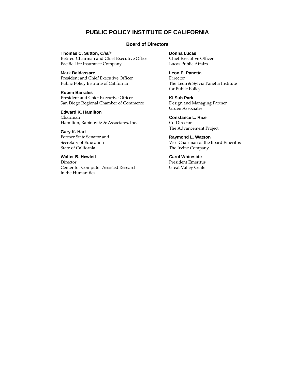#### **PUBLIC POLICY INSTITUTE OF CALIFORNIA**

#### **Board of Directors**

**Thomas C. Sutton,** *Chair* 

Retired Chairman and Chief Executive Officer Pacific Life Insurance Company

**Mark Baldassare** 

President and Chief Executive Officer Public Policy Institute of California

**Ruben Barrales**  President and Chief Executive Officer

San Diego Regional Chamber of Commerce

**Edward K. Hamilton**  Chairman Hamilton, Rabinovitz & Associates, Inc.

**Gary K. Hart**  Former State Senator and Secretary of Education State of California

#### **Walter B. Hewlett**

Director Center for Computer Assisted Research in the Humanities

**Donna Lucas** 

Chief Executive Officer Lucas Public Affairs

#### **Leon E. Panetta**

Director The Leon & Sylvia Panetta Institute for Public Policy

**Ki Suh Park**  Design and Managing Partner Gruen Associates

**Constance L. Rice**  Co-Director The Advancement Project

**Raymond L. Watson**  Vice Chairman of the Board Emeritus The Irvine Company

**Carol Whiteside**  President Emeritus Great Valley Center